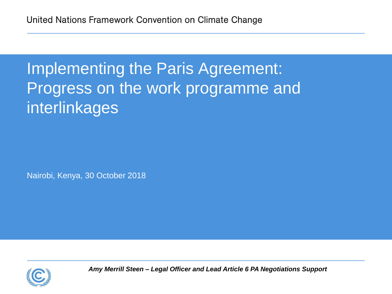### Implementing the Paris Agreement: Progress on the work programme and interlinkages

Nairobi, Kenya, 30 October 2018



*Amy Merrill Steen – Legal Officer and Lead Article 6 PA Negotiations Support*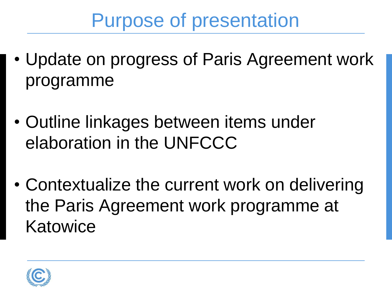# Purpose of presentation

- Update on progress of Paris Agreement work programme
- Outline linkages between items under elaboration in the UNFCCC
- Contextualize the current work on delivering the Paris Agreement work programme at Katowice

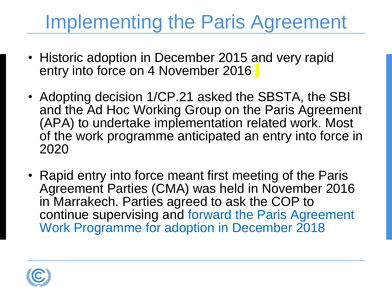# Implementing the Paris Agreement

- Historic adoption in December 2015 and very rapid entry into force on 4 November 2016
- Adopting decision 1/CP.21 asked the SBSTA, the SBI and the Ad Hoc Working Group on the Paris Agreement (APA) to undertake implementation related work. Most of the work programme anticipated an entry into force in 2020
- Rapid entry into force meant first meeting of the Paris Agreement Parties (CMA) was held in November 2016 in Marrakech. Parties agreed to ask the COP to continue supervising and forward the Paris Agreement Work Programme for adoption in December 2018

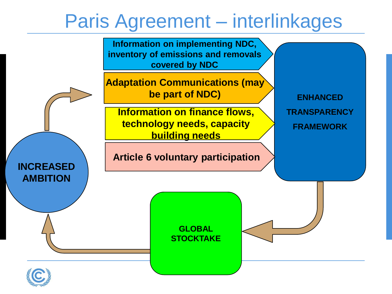## Paris Agreement – interlinkages

**Information on implementing NDC, inventory of emissions and removals covered by NDC** 

**Adaptation Communications (may be part of NDC)** 

**Information on finance flows, technology needs, capacity building needs** 

**Article 6 voluntary participation** 

**ENHANCED TRANSPARENCY FRAMEWORK** 

**GLOBAL STOCKTAKE** 



**INCREASED**

**AMBITION**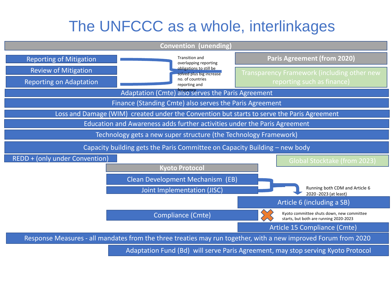### The UNFCCC as a whole, interlinkages

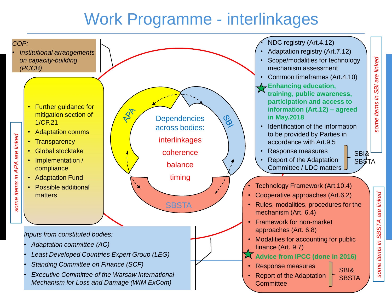### Work Programme - interlinkages

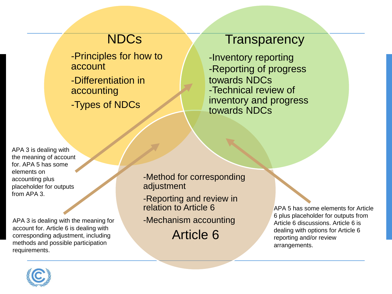#### **NDCs**

-Principles for how to account

-Differentiation in accounting -Types of NDCs

#### **Transparency**

-Inventory reporting -Reporting of progress towards NDCs -Technical review of inventory and progress towards NDCs

APA 3 is dealing with the meaning of account for. APA 5 has some elements on accounting plus placeholder for outputs from APA 3.

APA 3 is dealing with the meaning for account for. Article 6 is dealing with corresponding adjustment, including methods and possible participation requirements.

-Method for corresponding adjustment

-Reporting and review in relation to Article 6

-Mechanism accounting

Article 6

APA 5 has some elements for Article 6 plus placeholder for outputs from Article 6 discussions. Article 6 is dealing with options for Article 6 reporting and/or review arrangements.

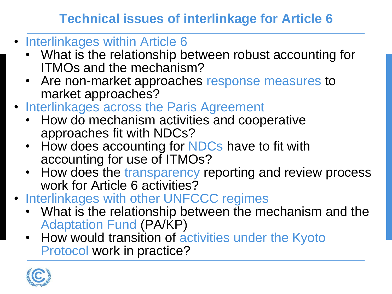#### **Technical issues of interlinkage for Article 6**

- Interlinkages within Article 6
	- What is the relationship between robust accounting for ITMOs and the mechanism?
	- Are non-market approaches response measures to market approaches?
- Interlinkages across the Paris Agreement
	- How do mechanism activities and cooperative approaches fit with NDCs?
	- How does accounting for NDCs have to fit with accounting for use of ITMOs?
	- How does the transparency reporting and review process work for Article 6 activities?
- Interlinkages with other UNFCCC regimes
	- What is the relationship between the mechanism and the Adaptation Fund (PA/KP)
	- How would transition of activities under the Kyoto Protocol work in practice?

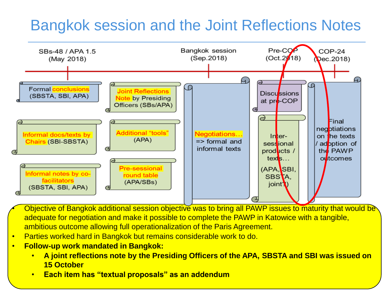### Bangkok session and the Joint Reflections Notes



• Objective of Bangkok additional session objective was to bring all PAWP issues to maturity that would be adequate for negotiation and make it possible to complete the PAWP in Katowice with a tangible, ambitious outcome allowing full operationalization of the Paris Agreement.

- Parties worked hard in Bangkok but remains considerable work to do.
- **Follow-up work mandated in Bangkok:** 
	- **A joint reflections note by the Presiding Officers of the APA, SBSTA and SBI was issued on 15 October**
	- **Each item has "textual proposals" as an addendum**